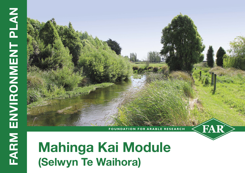# **Mahinga Kai Module (Selwyn Te Waihora)**

**FOUNDATION FOR ARABLE RESEARCH**

FAR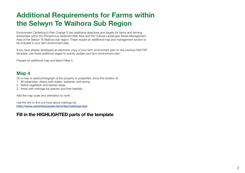## **Additional Requirements for Farms within the Selwyn Te Waihora Sub Region**

Environment Canterbury's Plan Change 5 has additional objectives and targets for farms and farming enterprises within the Phosphorus Sediment Risk Area and the Cultural Landscape Values Management Area of the Selwyn Te Waihora sub region. These require an additional map and management section to be included in your farm environment plan.

If you have already developed an electronic copy of your farm environment plan on the previous FAR FEP template, use these additional pages to quickly update your farm environment plan.

Prepare an additional map and label it Map 4.

#### **Map 4**

On a map or aerial photograph of the property or properties, show the location of:

- 1. All waterways, drains (with water), wetlands, and spring.
- 2. Native vegetation and riparian areas.
- 3. Areas with mahinga kai species and their habitats.

Add the map scale and orientation to north.

Use this link to find out more about mahinga kai **<http://www.canterburywater.farm/fep/mahinga-kai/>**

#### **Fill in the HIGHLIGHTED parts of the template**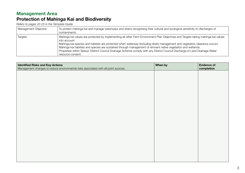### **Management Area Protection of Mahinga Kai and Biodiversity**

*Refers to pages 22-23 in the Template Guide.*

| Management Objective | To protect mahinga kai and manage waterways and drains recognising their cultural and ecological sensitivity to discharges of<br>contaminants.                                                                                                                                                                                                                                                                                                                                                                                                       |
|----------------------|------------------------------------------------------------------------------------------------------------------------------------------------------------------------------------------------------------------------------------------------------------------------------------------------------------------------------------------------------------------------------------------------------------------------------------------------------------------------------------------------------------------------------------------------------|
| <b>Targets</b>       | Mahinga kai values are protected by implementing all other Farm Environment Plan Objectives and Targets taking mahinga kai values<br>into account.<br>Mahinga kai species and habitats are protected when waterway (including drain) management and vegetation clearance occurs.<br>Mahinga kai habitats and species are sustained through management of remnant native vegetation and wetlands.<br>Properties within Selwyn District Council Drainage Scheme comply with any District Council Discharge of Land Drainage Water<br>resource consent. |

| <b>Identified Risks and Key Actions</b>                                             | When by | <b>Evidence of</b> |
|-------------------------------------------------------------------------------------|---------|--------------------|
| Management changes to reduce environmental risks associated with all point sources. |         | completion         |
|                                                                                     |         |                    |
|                                                                                     |         |                    |
|                                                                                     |         |                    |
|                                                                                     |         |                    |
|                                                                                     |         |                    |
|                                                                                     |         |                    |
|                                                                                     |         |                    |
|                                                                                     |         |                    |
|                                                                                     |         |                    |
|                                                                                     |         |                    |
|                                                                                     |         |                    |
|                                                                                     |         |                    |
|                                                                                     |         |                    |
|                                                                                     |         |                    |
|                                                                                     |         |                    |
|                                                                                     |         |                    |
|                                                                                     |         |                    |
|                                                                                     |         |                    |
|                                                                                     |         |                    |
|                                                                                     |         |                    |
|                                                                                     |         |                    |
|                                                                                     |         |                    |
|                                                                                     |         |                    |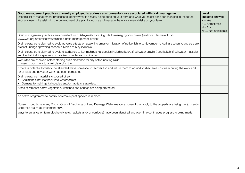| Good management practices currently employed to address environmental risks associated with drain management<br>Use this list of management practices to identify what is already being done on your farm and what you might consider changing in the future.<br>Your answers will assist with the development of a plan to reduce and manage the environmental risks on your farm. | Level<br>(Indicate answer)<br>$Y = Yes$<br>$S =$ Sometimes<br>$N = No$<br>$NA = Not applicable$ |
|-------------------------------------------------------------------------------------------------------------------------------------------------------------------------------------------------------------------------------------------------------------------------------------------------------------------------------------------------------------------------------------|-------------------------------------------------------------------------------------------------|
| Drain management practices are consistent with Selwyn-Waihora: A guide to managing your drains (Waihora Ellesmere Trust).<br>www.wet.org.nz/projects/sustainable-drain-management-project                                                                                                                                                                                           |                                                                                                 |
| Drain clearance is planned to avoid adverse effects on spawning times or migration of native fish (e.g. November to April are when young eels are<br>present, īnanga spawning season is March to May inclusive).                                                                                                                                                                    |                                                                                                 |
| Drain clearance is planned to avoid disturbance to key mahinga kai species including koura (freshwater crayfish) and kākahi (freshwater mussels)<br>and key habitat for species such as lizards as far as practicable.                                                                                                                                                              |                                                                                                 |
| Worksites are checked before starting drain clearance for any native nesting birds.<br>If present, plan work to avoid disturbing them.                                                                                                                                                                                                                                              |                                                                                                 |
| If there is potential for fish to be stranded, have someone to recover fish and return them to an undisturbed area upstream during the work and<br>for at least one day after work has been completed.                                                                                                                                                                              |                                                                                                 |
| Drain clearance material is disposed of so:<br>Sediment is not lost back into waterbodies;<br>$\bullet$<br>Damage to mahinga kai species and/or habitats is avoided.<br>$\bullet$                                                                                                                                                                                                   |                                                                                                 |
| Areas of remnant native vegetation, wetlands and springs are being protected.                                                                                                                                                                                                                                                                                                       |                                                                                                 |
| An active programme to control or remove pest species is in place.                                                                                                                                                                                                                                                                                                                  |                                                                                                 |
| Consent conditions in any District Council Discharge of Land Drainage Water resource consent that apply to the property are being met (currently<br>Osbornes drainage catchment only).                                                                                                                                                                                              |                                                                                                 |
| Ways to enhance on farm biodiversity (e.g. habitats and/ or corridors) have been identified and over time continuous progress is being made.                                                                                                                                                                                                                                        |                                                                                                 |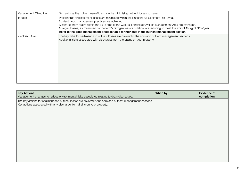| Management Objective    | To maximise the nutrient use efficiency while minimising nutrient losses to water.                                                                                                                                                                                                                                                                                                                                                                                                     |
|-------------------------|----------------------------------------------------------------------------------------------------------------------------------------------------------------------------------------------------------------------------------------------------------------------------------------------------------------------------------------------------------------------------------------------------------------------------------------------------------------------------------------|
| Targets                 | Phosphorus and sediment losses are minimised within the Phosphorus Sediment Risk Area.<br>Nutrient good management practices are achieved.<br>Discharge from drains within the Lake area of the Cultural Landscape/Values Management Area are managed.<br>Nitrogen losses, as measured by the farm's nitrogen loss calculation, are reducing to meet the limit of 15 kg of N/ha/year.<br>Refer to the good management practice table for nutrients in the nutrient management section. |
| <b>Identified Risks</b> | The key risks for sediment and nutrient losses are covered in the soils and nutrient management sections.<br>Additional risks associated with discharges from the drains on your property.                                                                                                                                                                                                                                                                                             |

| <b>Key Actions</b><br>Management changes to reduce environmental risks associated relating to drain discharges.                                                                        | When by | <b>Evidence of</b><br>completion |
|----------------------------------------------------------------------------------------------------------------------------------------------------------------------------------------|---------|----------------------------------|
| The key actions for sediment and nutrient losses are covered in the soils and nutrient management sections.<br>Key actions associated with any discharge from drains on your property. |         |                                  |
|                                                                                                                                                                                        |         |                                  |